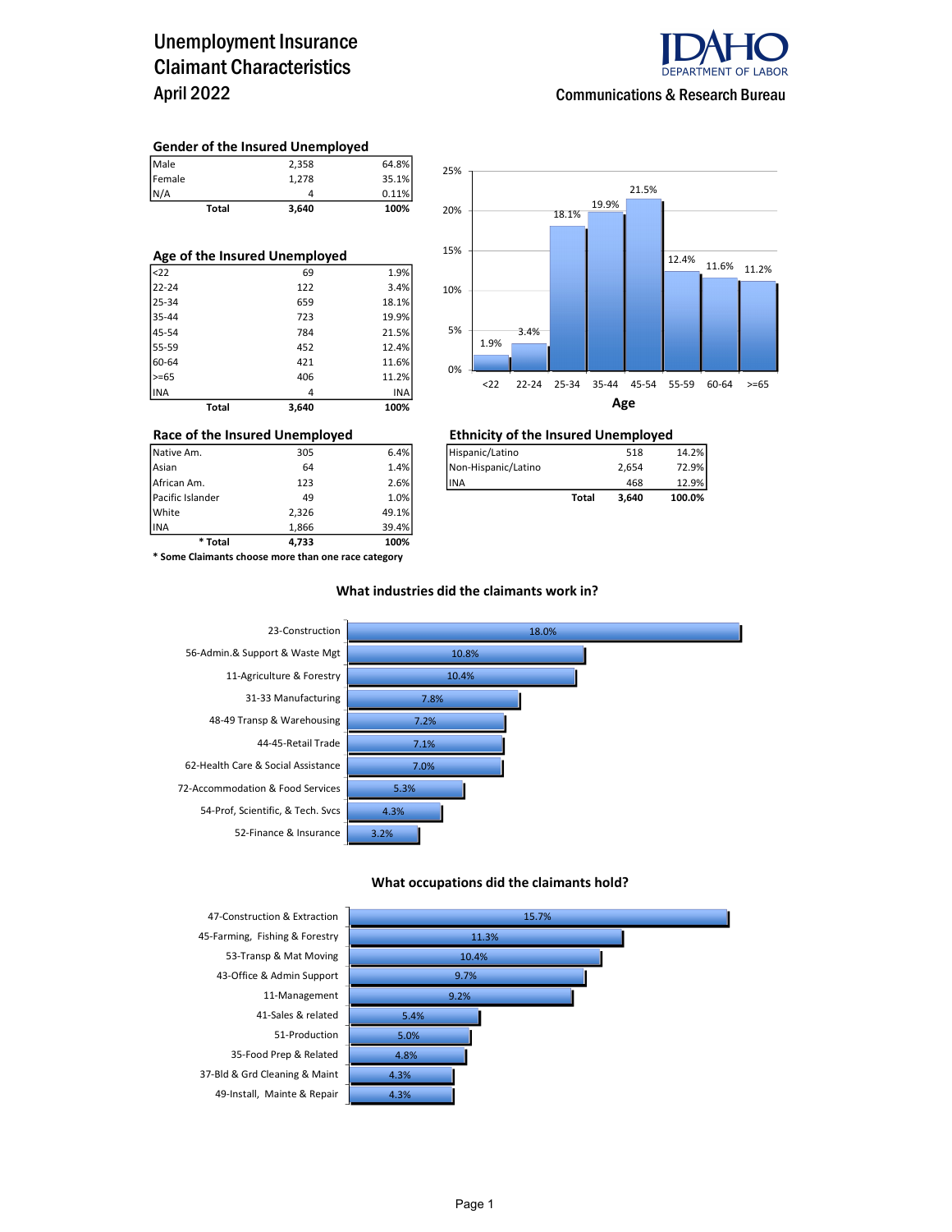### Unemployment Insurance Claimant Characteristics April 2022



Communications & Research Bureau

#### Gender of the Insured Unemployed

| Male   | 2.358 | 64.8% |
|--------|-------|-------|
| Female | 1.278 | 35.1% |
| N/A    |       | 0.11% |

Total 3,640 100%

| Age of the Insured Unemployed |       |       |  |  |  |  |  |
|-------------------------------|-------|-------|--|--|--|--|--|
| $ $ <22                       | 69    | 1.9%  |  |  |  |  |  |
| 22-24                         | 122   | 3.4%  |  |  |  |  |  |
| 25-34                         | 659   | 18.1% |  |  |  |  |  |
| 35-44                         | 723   | 19.9% |  |  |  |  |  |
| 45-54                         | 784   | 21.5% |  |  |  |  |  |
| 55-59                         | 452   | 12.4% |  |  |  |  |  |
| 60-64                         | 421   | 11.6% |  |  |  |  |  |
| $>= 65$                       | 406   | 11.2% |  |  |  |  |  |
| INA                           | 4     | INA   |  |  |  |  |  |
| Total                         | 3.640 | 100%  |  |  |  |  |  |



## Race of the Insured Unemployed<br>
Native Am. 305 6.4% Hispanic/Latino 518

| Native Am.       | 305 | 6.4% | Hispanic/Latino     |       | 518   | 14.2%  |
|------------------|-----|------|---------------------|-------|-------|--------|
| Asian            | 64  | 1.4% | Non-Hispanic/Latino |       | 2.654 | 72.9%  |
| African Am.      | 123 | 2.6% | <b>IINA</b>         |       | 468   | 12.9%  |
| Pacific Islander | 49  | 1.0% |                     | Total | 3.640 | 100.0% |

INA 1,866 39.4% \* Some Claimants choose more than one race category

\* Total 4,733 100%

Pacific Islander 49 1.0% White 2,326 49.1%<br>1.866 39.4% 1.866 39.4%

#### What industries did the claimants work in?



#### What occupations did the claimants hold?



37-Bld & Grd Cleaning & Maint 4.3%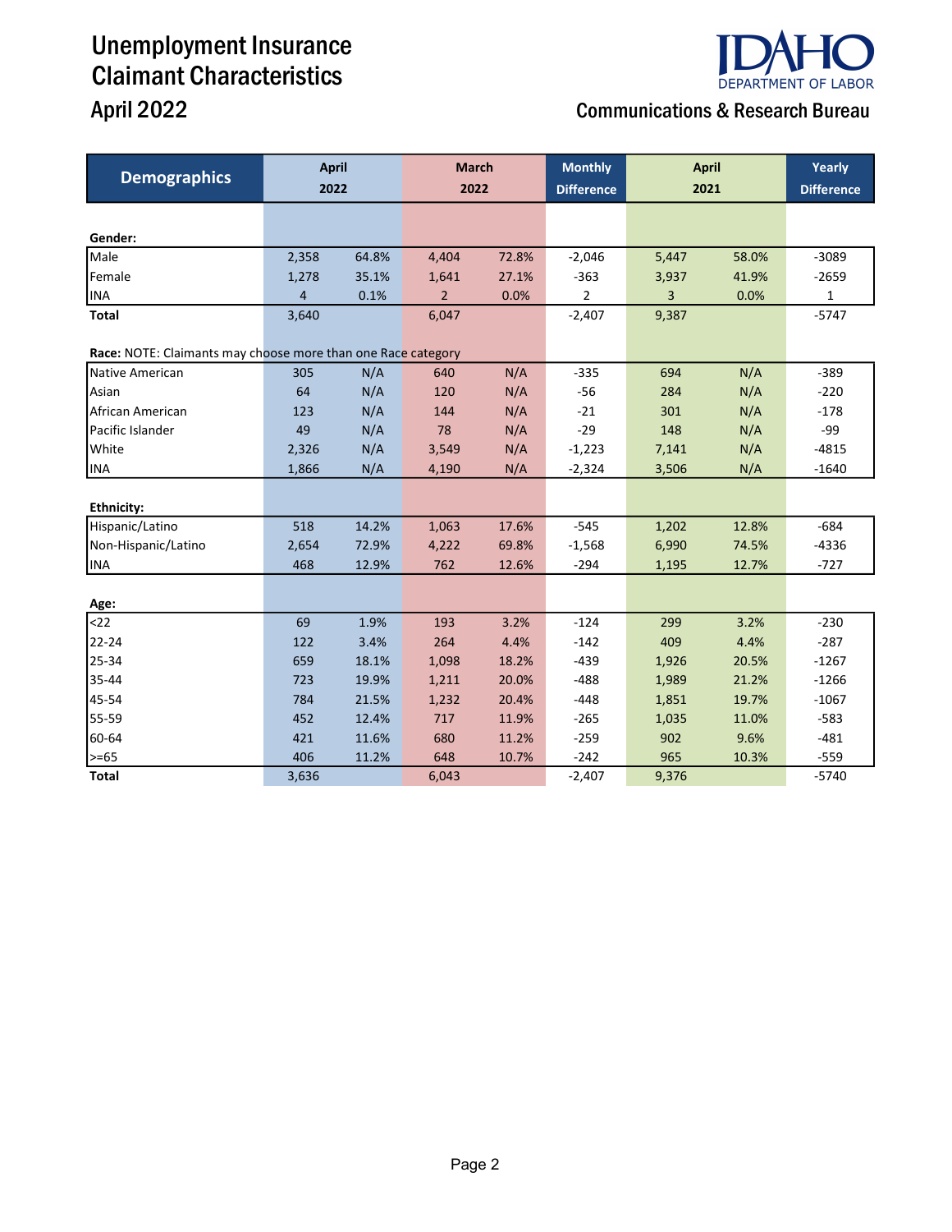## Unemployment Insurance Claimant Characteristics

# **DEPARTMENT OF LABOR**

## April 2022 **April 2022 Communications & Research Bureau**

| <b>Demographics</b>                                          | <b>April</b><br>2022 |       | <b>March</b><br>2022 |       | <b>Monthly</b><br><b>Difference</b> | <b>April</b><br>2021 |       | Yearly<br><b>Difference</b> |
|--------------------------------------------------------------|----------------------|-------|----------------------|-------|-------------------------------------|----------------------|-------|-----------------------------|
|                                                              |                      |       |                      |       |                                     |                      |       |                             |
|                                                              |                      |       |                      |       |                                     |                      |       |                             |
| Gender:                                                      |                      |       |                      |       |                                     |                      |       |                             |
| Male                                                         | 2,358                | 64.8% | 4,404                | 72.8% | $-2,046$                            | 5,447                | 58.0% | $-3089$                     |
| Female                                                       | 1,278                | 35.1% | 1,641                | 27.1% | $-363$                              | 3,937                | 41.9% | $-2659$                     |
| <b>INA</b>                                                   | 4                    | 0.1%  | $\overline{2}$       | 0.0%  | $\overline{2}$                      | 3                    | 0.0%  | 1                           |
| <b>Total</b>                                                 | 3,640                |       | 6,047                |       | $-2,407$                            | 9,387                |       | $-5747$                     |
| Race: NOTE: Claimants may choose more than one Race category |                      |       |                      |       |                                     |                      |       |                             |
| Native American                                              | 305                  | N/A   | 640                  | N/A   | $-335$                              | 694                  | N/A   | $-389$                      |
| Asian                                                        | 64                   | N/A   | 120                  | N/A   | $-56$                               | 284                  | N/A   | $-220$                      |
| African American                                             | 123                  | N/A   | 144                  | N/A   | $-21$                               | 301                  | N/A   | $-178$                      |
| Pacific Islander                                             | 49                   | N/A   | 78                   | N/A   | $-29$                               | 148                  | N/A   | -99                         |
| White                                                        | 2,326                | N/A   | 3,549                | N/A   | $-1,223$                            | 7,141                | N/A   | $-4815$                     |
| <b>INA</b>                                                   | 1,866                | N/A   | 4,190                | N/A   | $-2,324$                            | 3,506                | N/A   | $-1640$                     |
|                                                              |                      |       |                      |       |                                     |                      |       |                             |
| <b>Ethnicity:</b>                                            |                      |       |                      |       |                                     |                      |       |                             |
| Hispanic/Latino                                              | 518                  | 14.2% | 1,063                | 17.6% | $-545$                              | 1,202                | 12.8% | $-684$                      |
| Non-Hispanic/Latino                                          | 2,654                | 72.9% | 4,222                | 69.8% | $-1,568$                            | 6,990                | 74.5% | $-4336$                     |
| INA                                                          | 468                  | 12.9% | 762                  | 12.6% | $-294$                              | 1,195                | 12.7% | $-727$                      |
|                                                              |                      |       |                      |       |                                     |                      |       |                             |
| Age:                                                         |                      |       |                      |       |                                     |                      |       |                             |
| $22$                                                         | 69                   | 1.9%  | 193                  | 3.2%  | $-124$                              | 299                  | 3.2%  | $-230$                      |
| 22-24                                                        | 122                  | 3.4%  | 264                  | 4.4%  | $-142$                              | 409                  | 4.4%  | $-287$                      |
| 25-34                                                        | 659                  | 18.1% | 1,098                | 18.2% | $-439$                              | 1,926                | 20.5% | $-1267$                     |
| 35-44                                                        | 723                  | 19.9% | 1,211                | 20.0% | $-488$                              | 1,989                | 21.2% | $-1266$                     |
| 45-54                                                        | 784                  | 21.5% | 1,232                | 20.4% | $-448$                              | 1,851                | 19.7% | $-1067$                     |
| 55-59                                                        | 452                  | 12.4% | 717                  | 11.9% | $-265$                              | 1,035                | 11.0% | $-583$                      |
| 60-64                                                        | 421                  | 11.6% | 680                  | 11.2% | $-259$                              | 902                  | 9.6%  | $-481$                      |
| >=65                                                         | 406                  | 11.2% | 648                  | 10.7% | $-242$                              | 965                  | 10.3% | $-559$                      |
| <b>Total</b>                                                 | 3,636                |       | 6,043                |       | $-2,407$                            | 9,376                |       | $-5740$                     |